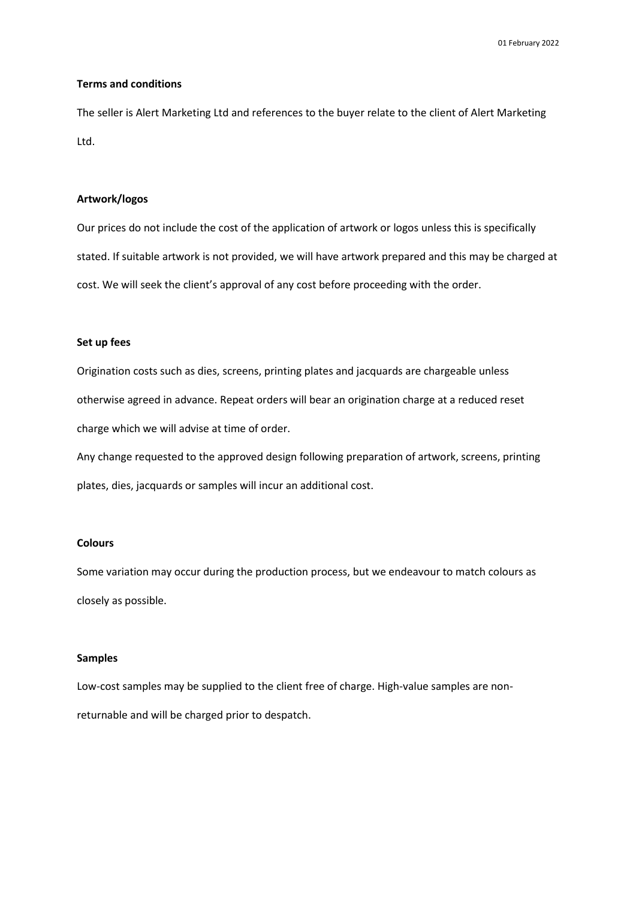## **Terms and conditions**

The seller is Alert Marketing Ltd and references to the buyer relate to the client of Alert Marketing Ltd.

# **Artwork/logos**

Our prices do not include the cost of the application of artwork or logos unless this is specifically stated. If suitable artwork is not provided, we will have artwork prepared and this may be charged at cost. We will seek the client's approval of any cost before proceeding with the order.

## **Set up fees**

Origination costs such as dies, screens, printing plates and jacquards are chargeable unless otherwise agreed in advance. Repeat orders will bear an origination charge at a reduced reset charge which we will advise at time of order.

Any change requested to the approved design following preparation of artwork, screens, printing plates, dies, jacquards or samples will incur an additional cost.

## **Colours**

Some variation may occur during the production process, but we endeavour to match colours as closely as possible.

## **Samples**

Low-cost samples may be supplied to the client free of charge. High-value samples are nonreturnable and will be charged prior to despatch.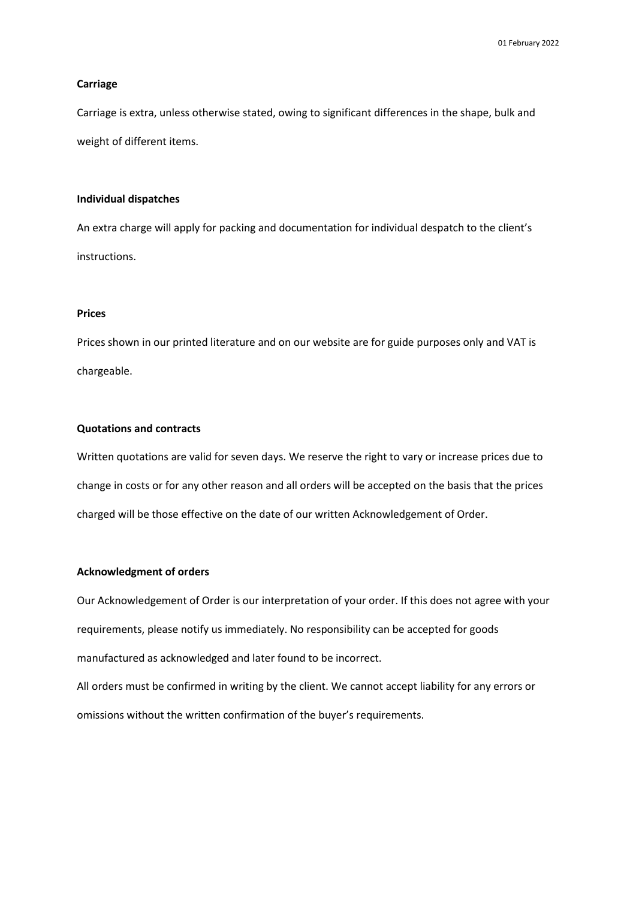## **Carriage**

Carriage is extra, unless otherwise stated, owing to significant differences in the shape, bulk and weight of different items.

## **Individual dispatches**

An extra charge will apply for packing and documentation for individual despatch to the client's instructions.

## **Prices**

Prices shown in our printed literature and on our website are for guide purposes only and VAT is chargeable.

# **Quotations and contracts**

Written quotations are valid for seven days. We reserve the right to vary or increase prices due to change in costs or for any other reason and all orders will be accepted on the basis that the prices charged will be those effective on the date of our written Acknowledgement of Order.

## **Acknowledgment of orders**

Our Acknowledgement of Order is our interpretation of your order. If this does not agree with your requirements, please notify us immediately. No responsibility can be accepted for goods manufactured as acknowledged and later found to be incorrect. All orders must be confirmed in writing by the client. We cannot accept liability for any errors or omissions without the written confirmation of the buyer's requirements.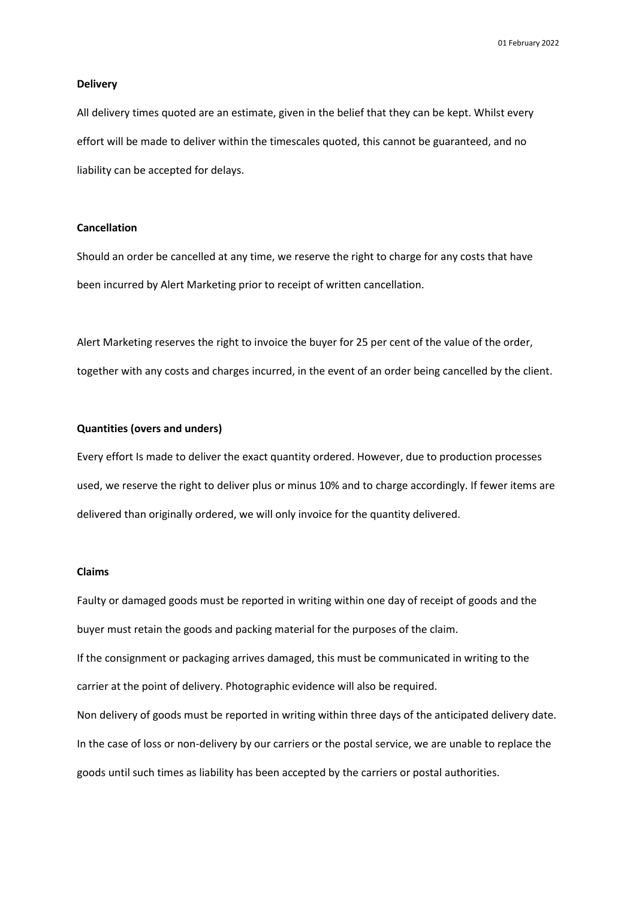#### **Delivery**

All delivery times quoted are an estimate, given in the belief that they can be kept. Whilst every effort will be made to deliver within the timescales quoted, this cannot be guaranteed, and no liability can be accepted for delays.

## **Cancellation**

Should an order be cancelled at any time, we reserve the right to charge for any costs that have been incurred by Alert Marketing prior to receipt of written cancellation.

Alert Marketing reserves the right to invoice the buyer for 25 per cent of the value of the order, together with any costs and charges incurred, in the event of an order being cancelled by the client.

## **Quantities (overs and unders)**

Every effort Is made to deliver the exact quantity ordered. However, due to production processes used, we reserve the right to deliver plus or minus 10% and to charge accordingly. If fewer items are delivered than originally ordered, we will only invoice for the quantity delivered.

### **Claims**

Faulty or damaged goods must be reported in writing within one day of receipt of goods and the buyer must retain the goods and packing material for the purposes of the claim. If the consignment or packaging arrives damaged, this must be communicated in writing to the carrier at the point of delivery. Photographic evidence will also be required. Non delivery of goods must be reported in writing within three days of the anticipated delivery date. In the case of loss or non-delivery by our carriers or the postal service, we are unable to replace the goods until such times as liability has been accepted by the carriers or postal authorities.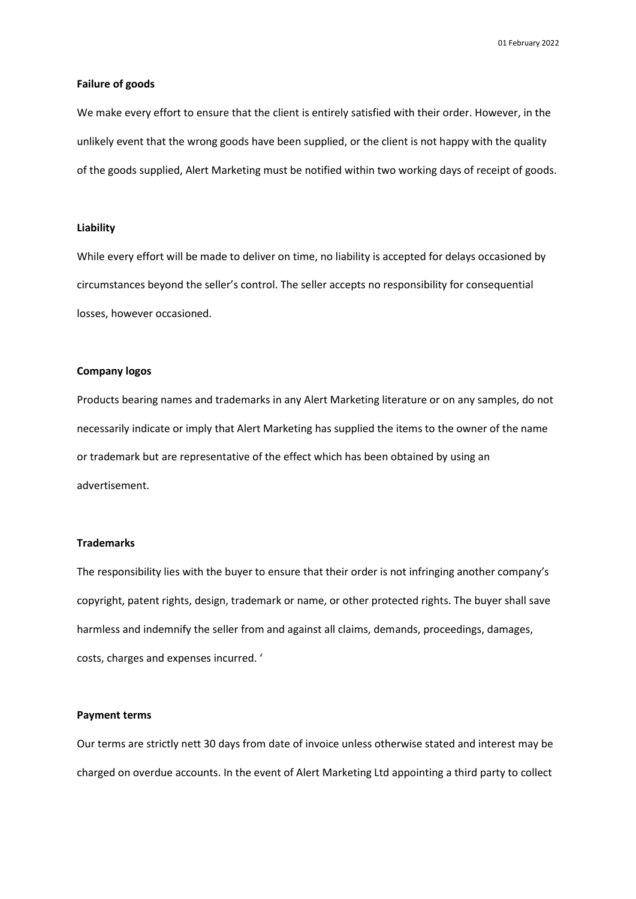## **Failure of goods**

We make every effort to ensure that the client is entirely satisfied with their order. However, in the unlikely event that the wrong goods have been supplied, or the client is not happy with the quality of the goods supplied, Alert Marketing must be notified within two working days of receipt of goods.

## **Liability**

While every effort will be made to deliver on time, no liability is accepted for delays occasioned by circumstances beyond the seller's control. The seller accepts no responsibility for consequential losses, however occasioned.

#### **Company logos**

Products bearing names and trademarks in any Alert Marketing literature or on any samples, do not necessarily indicate or imply that Alert Marketing has supplied the items to the owner of the name or trademark but are representative of the effect which has been obtained by using an advertisement.

# **Trademarks**

The responsibility lies with the buyer to ensure that their order is not infringing another company's copyright, patent rights, design, trademark or name, or other protected rights. The buyer shall save harmless and indemnify the seller from and against all claims, demands, proceedings, damages, costs, charges and expenses incurred. '

#### **Payment terms**

Our terms are strictly nett 30 days from date of invoice unless otherwise stated and interest may be charged on overdue accounts. In the event of Alert Marketing Ltd appointing a third party to collect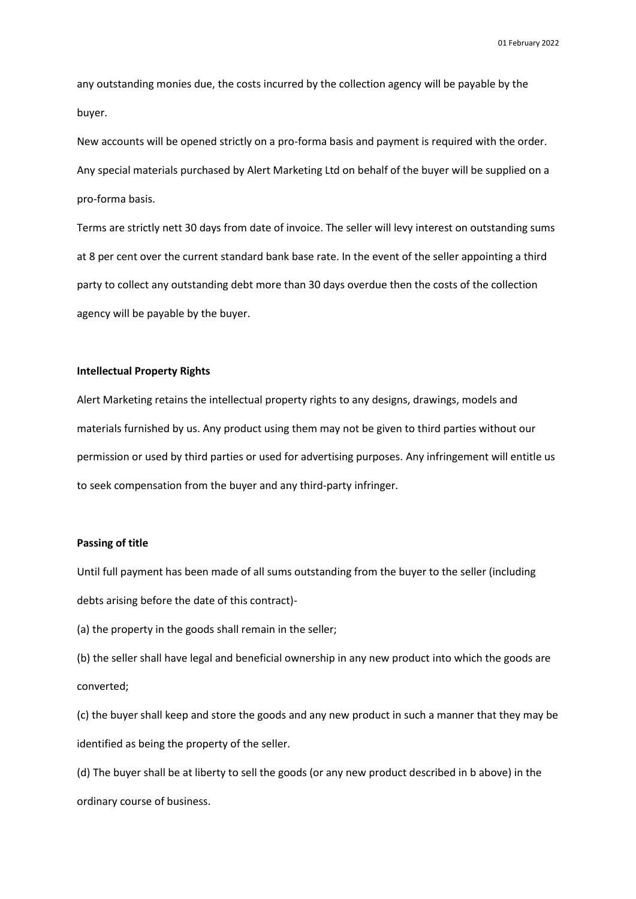any outstanding monies due, the costs incurred by the collection agency will be payable by the buyer.

New accounts will be opened strictly on a pro-forma basis and payment is required with the order. Any special materials purchased by Alert Marketing Ltd on behalf of the buyer will be supplied on a pro-forma basis.

Terms are strictly nett 30 days from date of invoice. The seller will levy interest on outstanding sums at 8 per cent over the current standard bank base rate. In the event of the seller appointing a third party to collect any outstanding debt more than 30 days overdue then the costs of the collection agency will be payable by the buyer.

# **Intellectual Property Rights**

Alert Marketing retains the intellectual property rights to any designs, drawings, models and materials furnished by us. Any product using them may not be given to third parties without our permission or used by third parties or used for advertising purposes. Any infringement will entitle us to seek compensation from the buyer and any third-party infringer.

## **Passing of title**

Until full payment has been made of all sums outstanding from the buyer to the seller (including debts arising before the date of this contract)-

(a) the property in the goods shall remain in the seller;

(b) the seller shall have legal and beneficial ownership in any new product into which the goods are converted;

(c) the buyer shall keep and store the goods and any new product in such a manner that they may be identified as being the property of the seller.

(d) The buyer shall be at liberty to sell the goods (or any new product described in b above) in the ordinary course of business.